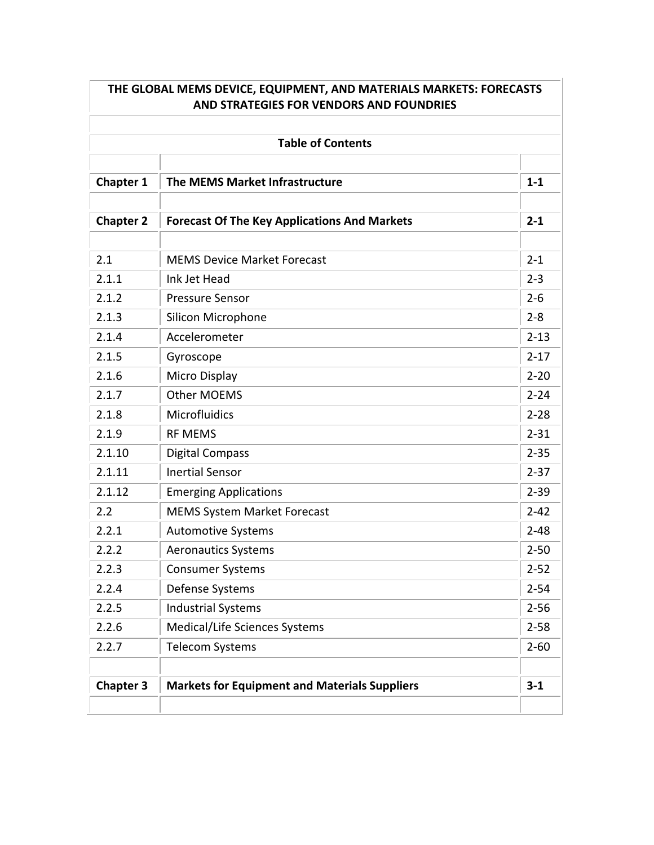| THE GLOBAL MEMS DEVICE, EQUIPMENT, AND MATERIALS MARKETS: FORECASTS<br>AND STRATEGIES FOR VENDORS AND FOUNDRIES<br><b>Table of Contents</b> |                                                      |          |  |
|---------------------------------------------------------------------------------------------------------------------------------------------|------------------------------------------------------|----------|--|
|                                                                                                                                             |                                                      |          |  |
| <b>Chapter 2</b>                                                                                                                            | <b>Forecast Of The Key Applications And Markets</b>  | $2 - 1$  |  |
| 2.1                                                                                                                                         | <b>MEMS Device Market Forecast</b>                   | $2 - 1$  |  |
| 2.1.1                                                                                                                                       | Ink Jet Head                                         | $2 - 3$  |  |
| 2.1.2                                                                                                                                       | <b>Pressure Sensor</b>                               | $2 - 6$  |  |
| 2.1.3                                                                                                                                       | <b>Silicon Microphone</b>                            | $2 - 8$  |  |
| 2.1.4                                                                                                                                       | Accelerometer                                        | $2 - 13$ |  |
| 2.1.5                                                                                                                                       | Gyroscope                                            | $2 - 17$ |  |
| 2.1.6                                                                                                                                       | Micro Display                                        | $2 - 20$ |  |
| 2.1.7                                                                                                                                       | <b>Other MOEMS</b>                                   | $2 - 24$ |  |
| 2.1.8                                                                                                                                       | Microfluidics                                        | $2 - 28$ |  |
| 2.1.9                                                                                                                                       | <b>RF MEMS</b>                                       | $2 - 31$ |  |
| 2.1.10                                                                                                                                      | <b>Digital Compass</b>                               | $2 - 35$ |  |
| 2.1.11                                                                                                                                      | <b>Inertial Sensor</b>                               | $2 - 37$ |  |
| 2.1.12                                                                                                                                      | <b>Emerging Applications</b>                         | $2 - 39$ |  |
| 2.2                                                                                                                                         | <b>MEMS System Market Forecast</b>                   | $2 - 42$ |  |
| 2.2.1                                                                                                                                       | <b>Automotive Systems</b>                            | $2 - 48$ |  |
| 2.2.2                                                                                                                                       | <b>Aeronautics Systems</b>                           | $2 - 50$ |  |
| 2.2.3                                                                                                                                       | <b>Consumer Systems</b>                              | $2 - 52$ |  |
| 2.2.4                                                                                                                                       | Defense Systems                                      | $2 - 54$ |  |
| 2.2.5                                                                                                                                       | <b>Industrial Systems</b>                            | $2 - 56$ |  |
| 2.2.6                                                                                                                                       | Medical/Life Sciences Systems                        | $2 - 58$ |  |
| 2.2.7                                                                                                                                       | <b>Telecom Systems</b>                               | $2 - 60$ |  |
| <b>Chapter 3</b>                                                                                                                            | <b>Markets for Equipment and Materials Suppliers</b> | $3-1$    |  |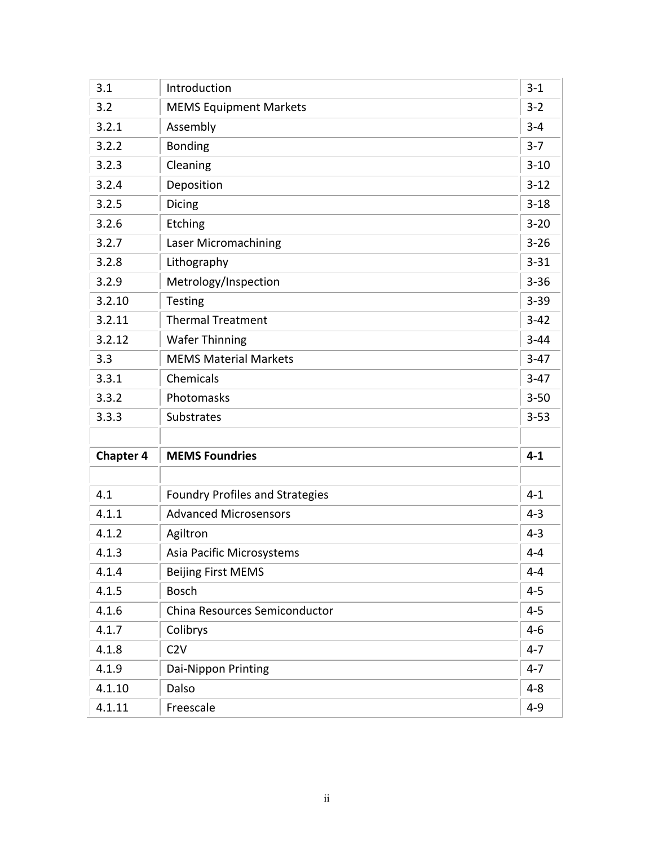| 3.1              | Introduction                           | $3 - 1$  |
|------------------|----------------------------------------|----------|
| 3.2              | <b>MEMS Equipment Markets</b>          | $3 - 2$  |
| 3.2.1            | Assembly                               | $3 - 4$  |
| 3.2.2            | <b>Bonding</b>                         | $3 - 7$  |
| 3.2.3            | Cleaning                               | $3 - 10$ |
| 3.2.4            | Deposition                             | $3 - 12$ |
| 3.2.5            | <b>Dicing</b>                          | $3 - 18$ |
| 3.2.6            | Etching                                | $3 - 20$ |
| 3.2.7            | Laser Micromachining                   | $3 - 26$ |
| 3.2.8            | Lithography                            | $3 - 31$ |
| 3.2.9            | Metrology/Inspection                   | $3 - 36$ |
| 3.2.10           | Testing                                | $3 - 39$ |
| 3.2.11           | <b>Thermal Treatment</b>               | $3-42$   |
| 3.2.12           | <b>Wafer Thinning</b>                  | $3 - 44$ |
| 3.3              | <b>MEMS Material Markets</b>           | $3-47$   |
| 3.3.1            | Chemicals                              | $3-47$   |
| 3.3.2            | Photomasks                             | $3 - 50$ |
| 3.3.3            | Substrates                             | $3 - 53$ |
|                  |                                        |          |
| <b>Chapter 4</b> | <b>MEMS Foundries</b>                  | $4 - 1$  |
|                  |                                        |          |
| 4.1              | <b>Foundry Profiles and Strategies</b> | $4 - 1$  |
| 4.1.1            | <b>Advanced Microsensors</b>           | $4 - 3$  |
| 4.1.2            | Agiltron                               | $4 - 3$  |
| 4.1.3            | Asia Pacific Microsystems              | $4 - 4$  |
| 4.1.4            | <b>Beijing First MEMS</b>              | $4 - 4$  |
| 4.1.5            | <b>Bosch</b>                           | $4 - 5$  |
| 4.1.6            | China Resources Semiconductor          | $4 - 5$  |
| 4.1.7            | Colibrys                               | $4 - 6$  |
| 4.1.8            | C2V                                    | $4 - 7$  |
| 4.1.9            | Dai-Nippon Printing                    | $4 - 7$  |
| 4.1.10           | Dalso                                  | $4 - 8$  |
| 4.1.11           | Freescale                              | $4 - 9$  |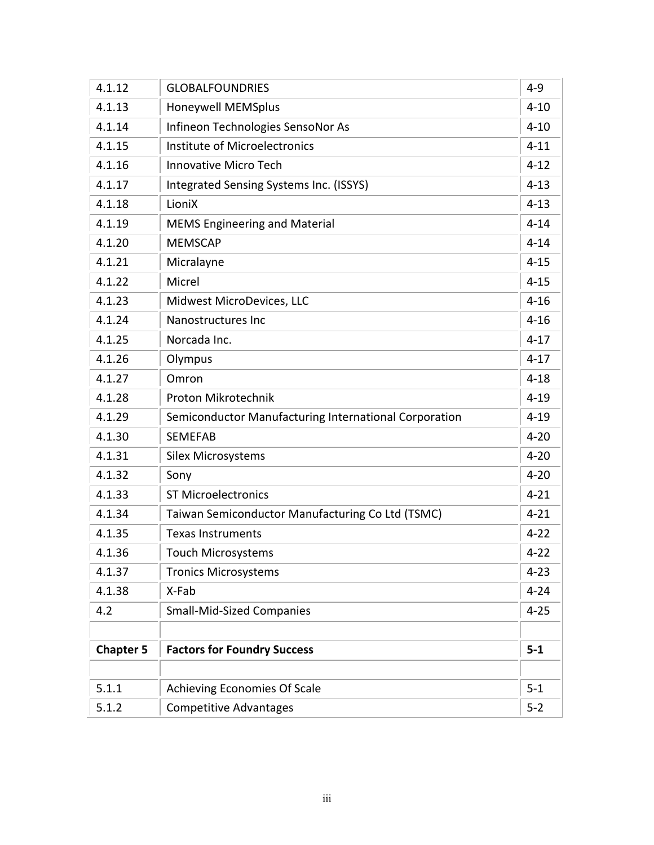| 4.1.12           | <b>GLOBALFOUNDRIES</b>                                | $4 - 9$  |
|------------------|-------------------------------------------------------|----------|
| 4.1.13           | Honeywell MEMSplus                                    | $4 - 10$ |
| 4.1.14           | Infineon Technologies SensoNor As                     | $4 - 10$ |
| 4.1.15           | Institute of Microelectronics                         | $4 - 11$ |
| 4.1.16           | <b>Innovative Micro Tech</b>                          | $4 - 12$ |
| 4.1.17           | Integrated Sensing Systems Inc. (ISSYS)               | $4 - 13$ |
| 4.1.18           | LioniX                                                | $4 - 13$ |
| 4.1.19           | <b>MEMS Engineering and Material</b>                  | $4 - 14$ |
| 4.1.20           | <b>MEMSCAP</b>                                        | $4 - 14$ |
| 4.1.21           | Micralayne                                            | $4 - 15$ |
| 4.1.22           | Micrel                                                | $4 - 15$ |
| 4.1.23           | Midwest MicroDevices, LLC                             | $4 - 16$ |
| 4.1.24           | Nanostructures Inc                                    | $4 - 16$ |
| 4.1.25           | Norcada Inc.                                          | $4 - 17$ |
| 4.1.26           | Olympus                                               | $4 - 17$ |
| 4.1.27           | Omron                                                 | $4 - 18$ |
| 4.1.28           | Proton Mikrotechnik                                   | $4 - 19$ |
| 4.1.29           | Semiconductor Manufacturing International Corporation | $4 - 19$ |
| 4.1.30           | <b>SEMEFAB</b>                                        | $4 - 20$ |
| 4.1.31           | <b>Silex Microsystems</b>                             | $4 - 20$ |
| 4.1.32           | Sony                                                  | $4 - 20$ |
| 4.1.33           | <b>ST Microelectronics</b>                            | $4 - 21$ |
| 4.1.34           | Taiwan Semiconductor Manufacturing Co Ltd (TSMC)      | $4 - 21$ |
| 4.1.35           | <b>Texas Instruments</b>                              | $4 - 22$ |
| 4.1.36           | <b>Touch Microsystems</b>                             | $4 - 22$ |
| 4.1.37           | <b>Tronics Microsystems</b>                           | $4 - 23$ |
| 4.1.38           | X-Fab                                                 | $4 - 24$ |
| 4.2              | <b>Small-Mid-Sized Companies</b>                      | $4 - 25$ |
|                  |                                                       |          |
| <b>Chapter 5</b> | <b>Factors for Foundry Success</b>                    | $5 - 1$  |
|                  |                                                       |          |
| 5.1.1            | <b>Achieving Economies Of Scale</b>                   | $5 - 1$  |
| 5.1.2            | <b>Competitive Advantages</b>                         | $5 - 2$  |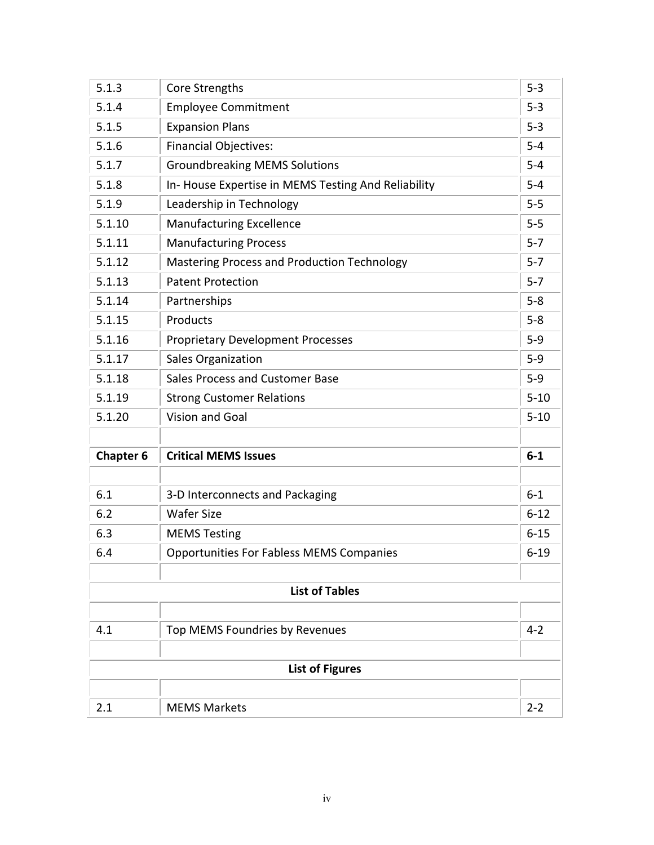| 2.1              | <b>MEMS Markets</b>                                          | $2 - 2$          |
|------------------|--------------------------------------------------------------|------------------|
|                  | <b>List of Figures</b>                                       |                  |
|                  |                                                              |                  |
| 4.1              | Top MEMS Foundries by Revenues                               | $4 - 2$          |
|                  | <b>List of Tables</b>                                        |                  |
|                  |                                                              |                  |
| 6.4              | <b>Opportunities For Fabless MEMS Companies</b>              | $6 - 19$         |
| 6.3              | <b>MEMS Testing</b>                                          | $6 - 15$         |
| 6.2              | <b>Wafer Size</b>                                            | $6 - 12$         |
| 6.1              | 3-D Interconnects and Packaging                              | $6-1$            |
| <b>Chapter 6</b> | <b>Critical MEMS Issues</b>                                  | $6-1$            |
| 5.1.20           | <b>Vision and Goal</b>                                       | $5 - 10$         |
|                  | <b>Strong Customer Relations</b>                             |                  |
| 5.1.19           |                                                              | $5 - 10$         |
| 5.1.17<br>5.1.18 | <b>Sales Organization</b><br>Sales Process and Customer Base | $5-9$<br>$5-9$   |
|                  | <b>Proprietary Development Processes</b>                     |                  |
| 5.1.15<br>5.1.16 | Products                                                     | $5 - 8$<br>$5-9$ |
| 5.1.14           | Partnerships                                                 | $5-8$            |
| 5.1.13           | <b>Patent Protection</b>                                     | $5 - 7$          |
| 5.1.12           | <b>Mastering Process and Production Technology</b>           | $5 - 7$          |
| 5.1.11           | <b>Manufacturing Process</b>                                 | $5 - 7$          |
| 5.1.10           | <b>Manufacturing Excellence</b>                              | $5-5$            |
| 5.1.9            | Leadership in Technology                                     | $5-5$            |
| 5.1.8            | In-House Expertise in MEMS Testing And Reliability           | $5-4$            |
| 5.1.7            | <b>Groundbreaking MEMS Solutions</b>                         | $5-4$            |
| 5.1.6            | <b>Financial Objectives:</b>                                 | $5-4$            |
| 5.1.5            | <b>Expansion Plans</b>                                       | $5-3$            |
| 5.1.4            | <b>Employee Commitment</b>                                   | $5-3$            |
| 5.1.3            | Core Strengths                                               | $5 - 3$          |
|                  |                                                              |                  |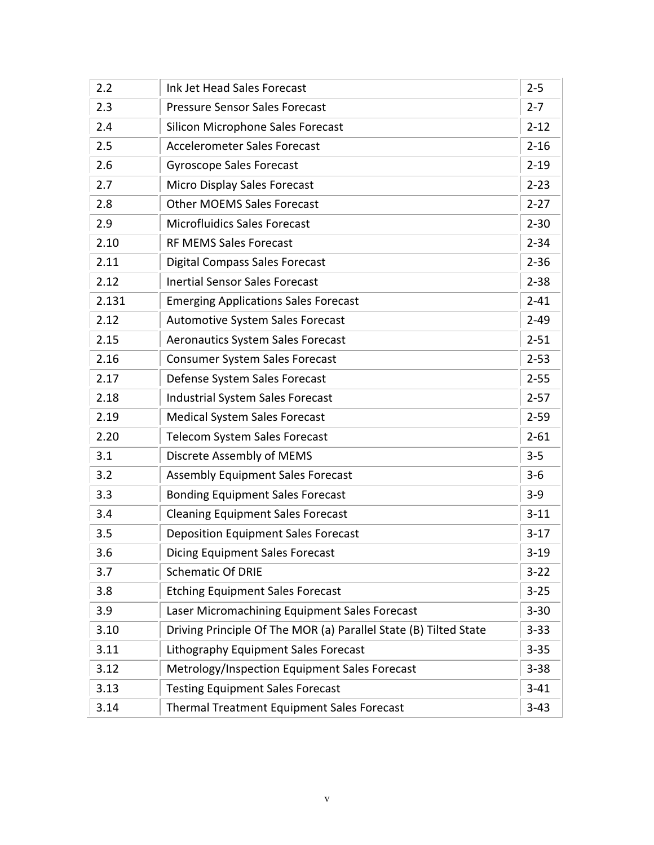| 2.2   | Ink Jet Head Sales Forecast                                      | $2 - 5$  |
|-------|------------------------------------------------------------------|----------|
| 2.3   | <b>Pressure Sensor Sales Forecast</b>                            | $2 - 7$  |
| 2.4   | Silicon Microphone Sales Forecast                                | $2 - 12$ |
| 2.5   | <b>Accelerometer Sales Forecast</b>                              | $2 - 16$ |
| 2.6   | <b>Gyroscope Sales Forecast</b>                                  | $2 - 19$ |
| 2.7   | Micro Display Sales Forecast                                     | $2 - 23$ |
| 2.8   | <b>Other MOEMS Sales Forecast</b>                                | $2 - 27$ |
| 2.9   | <b>Microfluidics Sales Forecast</b>                              | $2 - 30$ |
| 2.10  | <b>RF MEMS Sales Forecast</b>                                    | $2 - 34$ |
| 2.11  | <b>Digital Compass Sales Forecast</b>                            | $2 - 36$ |
| 2.12  | <b>Inertial Sensor Sales Forecast</b>                            | $2 - 38$ |
| 2.131 | <b>Emerging Applications Sales Forecast</b>                      | $2 - 41$ |
| 2.12  | <b>Automotive System Sales Forecast</b>                          | $2 - 49$ |
| 2.15  | <b>Aeronautics System Sales Forecast</b>                         | $2 - 51$ |
| 2.16  | <b>Consumer System Sales Forecast</b>                            | $2 - 53$ |
| 2.17  | Defense System Sales Forecast                                    | $2 - 55$ |
| 2.18  | Industrial System Sales Forecast                                 | $2 - 57$ |
| 2.19  | <b>Medical System Sales Forecast</b>                             | $2 - 59$ |
| 2.20  | <b>Telecom System Sales Forecast</b>                             | $2 - 61$ |
| 3.1   | Discrete Assembly of MEMS                                        | $3 - 5$  |
| 3.2   | <b>Assembly Equipment Sales Forecast</b>                         | $3 - 6$  |
| 3.3   | <b>Bonding Equipment Sales Forecast</b>                          | $3-9$    |
| 3.4   | <b>Cleaning Equipment Sales Forecast</b>                         | $3 - 11$ |
| 3.5   | <b>Deposition Equipment Sales Forecast</b>                       | $3-17$   |
| 3.6   | <b>Dicing Equipment Sales Forecast</b>                           | $3 - 19$ |
| 3.7   | <b>Schematic Of DRIE</b>                                         | $3 - 22$ |
| 3.8   | <b>Etching Equipment Sales Forecast</b>                          | $3 - 25$ |
| 3.9   | Laser Micromachining Equipment Sales Forecast                    | $3 - 30$ |
| 3.10  | Driving Principle Of The MOR (a) Parallel State (B) Tilted State | $3 - 33$ |
| 3.11  | Lithography Equipment Sales Forecast                             | $3 - 35$ |
| 3.12  | Metrology/Inspection Equipment Sales Forecast                    | $3 - 38$ |
| 3.13  | <b>Testing Equipment Sales Forecast</b>                          | $3 - 41$ |
| 3.14  | Thermal Treatment Equipment Sales Forecast                       | $3 - 43$ |